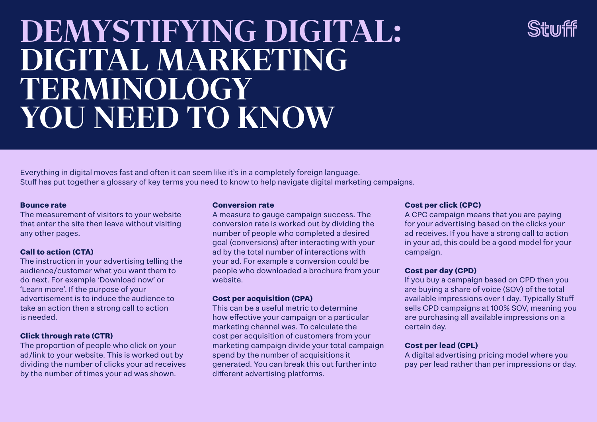# **DEMYSTIFYING DIGITAL: DIGITAL MARKETING TERMINOLOGY YOU NEED TO KNOW**

Everything in digital moves fast and often it can seem like it's in a completely foreign language. Stuff has put together a glossary of key terms you need to know to help navigate digital marketing campaigns.

#### **Bounce rate**

The measurement of visitors to your website that enter the site then leave without visiting any other pages.

# **Call to action (CTA)**

The instruction in your advertising telling the audience/customer what you want them to do next. For example 'Download now' or 'Learn more'. If the purpose of your advertisement is to induce the audience to take an action then a strong call to action is needed.

# **Click through rate (CTR)**

The proportion of people who click on your ad/link to your website. This is worked out by dividing the number of clicks your ad receives by the number of times your ad was shown.

### **Conversion rate**

A measure to gauge campaign success. The conversion rate is worked out by dividing the number of people who completed a desired goal (conversions) after interacting with your ad by the total number of interactions with your ad. For example a conversion could be people who downloaded a brochure from your website.

# **Cost per acquisition (CPA)**

This can be a useful metric to determine how effective your campaign or a particular marketing channel was. To calculate the cost per acquisition of customers from your marketing campaign divide your total campaign spend by the number of acquisitions it generated. You can break this out further into different advertising platforms.

# **Cost per click (CPC)**

A CPC campaign means that you are paying for your advertising based on the clicks your ad receives. If you have a strong call to action in your ad, this could be a good model for your campaign.

# **Cost per day (CPD)**

If you buy a campaign based on CPD then you are buying a share of voice (SOV) of the total available impressions over 1 day. Typically Stuff sells CPD campaigns at 100% SOV, meaning you are purchasing all available impressions on a certain day.

# **Cost per lead (CPL)**

A digital advertising pricing model where you pay per lead rather than per impressions or day.